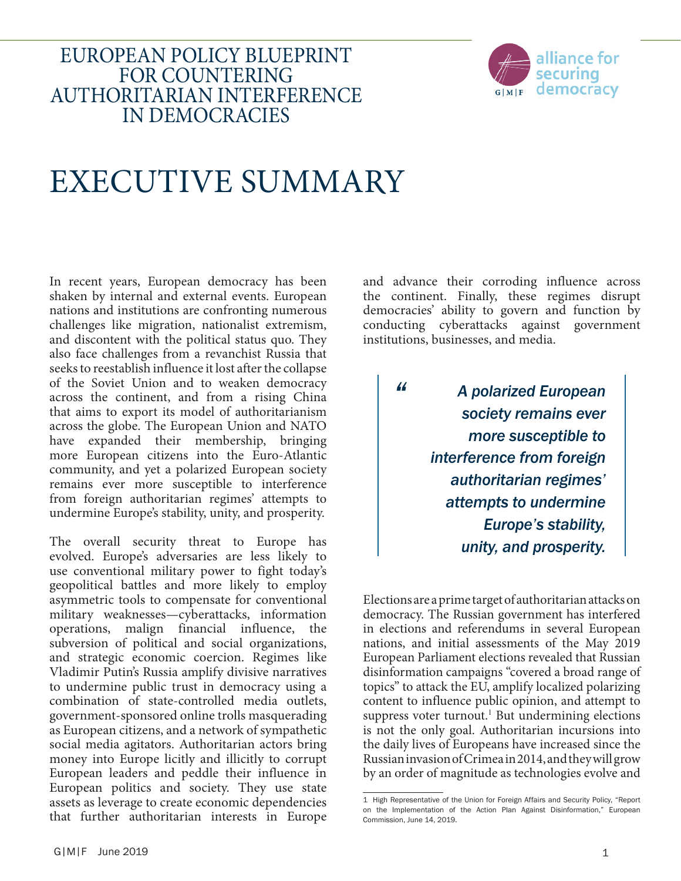# EUROPEAN POLICY BLUEPRINT FOR COUNTERING AUTHORITARIAN INTERFERENCE IN DEMOCRACIES



# EXECUTIVE SUMMARY

In recent years, European democracy has been shaken by internal and external events. European nations and institutions are confronting numerous challenges like migration, nationalist extremism, and discontent with the political status quo. They also face challenges from a revanchist Russia that seeks to reestablish influence it lost after the collapse of the Soviet Union and to weaken democracy across the continent, and from a rising China that aims to export its model of authoritarianism across the globe. The European Union and NATO have expanded their membership, bringing more European citizens into the Euro-Atlantic community, and yet a polarized European society remains ever more susceptible to interference from foreign authoritarian regimes' attempts to undermine Europe's stability, unity, and prosperity.

The overall security threat to Europe has evolved. Europe's adversaries are less likely to use conventional military power to fight today's geopolitical battles and more likely to employ asymmetric tools to compensate for conventional military weaknesses—cyberattacks, information operations, malign financial influence, the subversion of political and social organizations, and strategic economic coercion. Regimes like Vladimir Putin's Russia amplify divisive narratives to undermine public trust in democracy using a combination of state-controlled media outlets, government-sponsored online trolls masquerading as European citizens, and a network of sympathetic social media agitators. Authoritarian actors bring money into Europe licitly and illicitly to corrupt European leaders and peddle their influence in European politics and society. They use state assets as leverage to create economic dependencies that further authoritarian interests in Europe

and advance their corroding influence across the continent. Finally, these regimes disrupt democracies' ability to govern and function by conducting cyberattacks against government institutions, businesses, and media.

*"*

*A polarized European society remains ever more susceptible to interference from foreign authoritarian regimes' attempts to undermine Europe's stability, unity, and prosperity.*

Elections are a prime target of authoritarian attacks on democracy. The Russian government has interfered in elections and referendums in several European nations, and initial assessments of the May 2019 European Parliament elections revealed that Russian disinformation campaigns "covered a broad range of topics" to attack the EU, amplify localized polarizing content to influence public opinion, and attempt to suppress voter turnout.<sup>1</sup> But undermining elections is not the only goal. Authoritarian incursions into the daily lives of Europeans have increased since the Russian invasion of Crimea in 2014, and they will grow by an order of magnitude as technologies evolve and

<sup>1</sup> High Representative of the Union for Foreign Affairs and Security Policy, "Report on the Implementation of the Action Plan Against Disinformation," European Commission, June 14, 2019.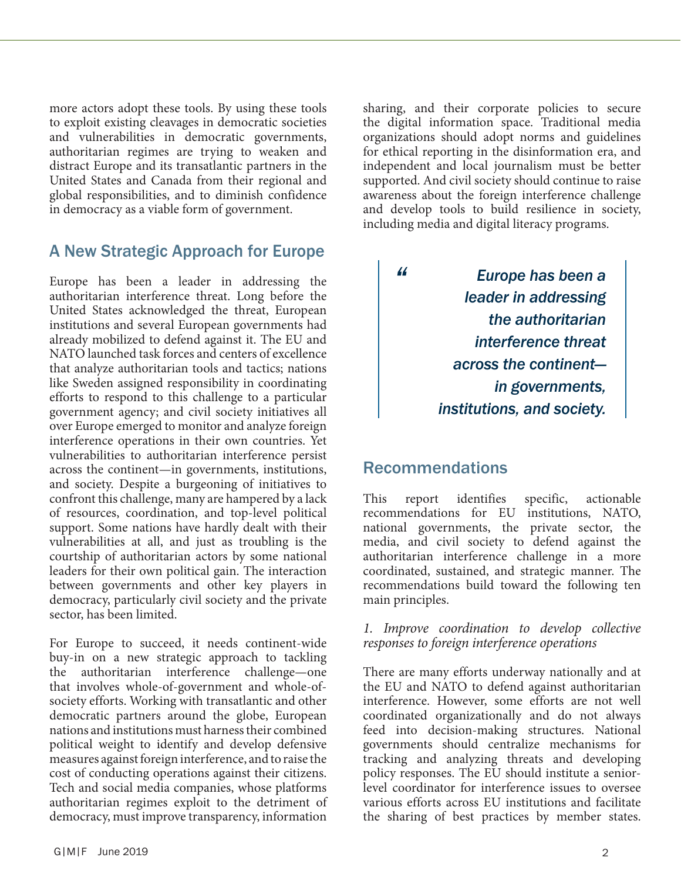more actors adopt these tools. By using these tools to exploit existing cleavages in democratic societies and vulnerabilities in democratic governments, authoritarian regimes are trying to weaken and distract Europe and its transatlantic partners in the United States and Canada from their regional and global responsibilities, and to diminish confidence in democracy as a viable form of government.

# A New Strategic Approach for Europe

Europe has been a leader in addressing the authoritarian interference threat. Long before the United States acknowledged the threat, European institutions and several European governments had already mobilized to defend against it. The EU and NATO launched task forces and centers of excellence that analyze authoritarian tools and tactics; nations like Sweden assigned responsibility in coordinating efforts to respond to this challenge to a particular government agency; and civil society initiatives all over Europe emerged to monitor and analyze foreign interference operations in their own countries. Yet vulnerabilities to authoritarian interference persist across the continent—in governments, institutions, and society. Despite a burgeoning of initiatives to confront this challenge, many are hampered by a lack of resources, coordination, and top-level political support. Some nations have hardly dealt with their vulnerabilities at all, and just as troubling is the courtship of authoritarian actors by some national leaders for their own political gain. The interaction between governments and other key players in democracy, particularly civil society and the private sector, has been limited.

For Europe to succeed, it needs continent-wide buy-in on a new strategic approach to tackling the authoritarian interference challenge—one that involves whole-of-government and whole-ofsociety efforts. Working with transatlantic and other democratic partners around the globe, European nations and institutions must harness their combined political weight to identify and develop defensive measures against foreign interference, and to raise the cost of conducting operations against their citizens. Tech and social media companies, whose platforms authoritarian regimes exploit to the detriment of democracy, must improve transparency, information

sharing, and their corporate policies to secure the digital information space. Traditional media organizations should adopt norms and guidelines for ethical reporting in the disinformation era, and independent and local journalism must be better supported. And civil society should continue to raise awareness about the foreign interference challenge and develop tools to build resilience in society, including media and digital literacy programs.

> *Europe has been a leader in addressing the authoritarian interference threat across the continent in governments, institutions, and society.*

# Recommendations

*"*

This report identifies specific, actionable recommendations for EU institutions, NATO, national governments, the private sector, the media, and civil society to defend against the authoritarian interference challenge in a more coordinated, sustained, and strategic manner. The recommendations build toward the following ten main principles.

## *1. Improve coordination to develop collective responses to foreign interference operations*

There are many efforts underway nationally and at the EU and NATO to defend against authoritarian interference. However, some efforts are not well coordinated organizationally and do not always feed into decision-making structures. National governments should centralize mechanisms for tracking and analyzing threats and developing policy responses. The EU should institute a seniorlevel coordinator for interference issues to oversee various efforts across EU institutions and facilitate the sharing of best practices by member states.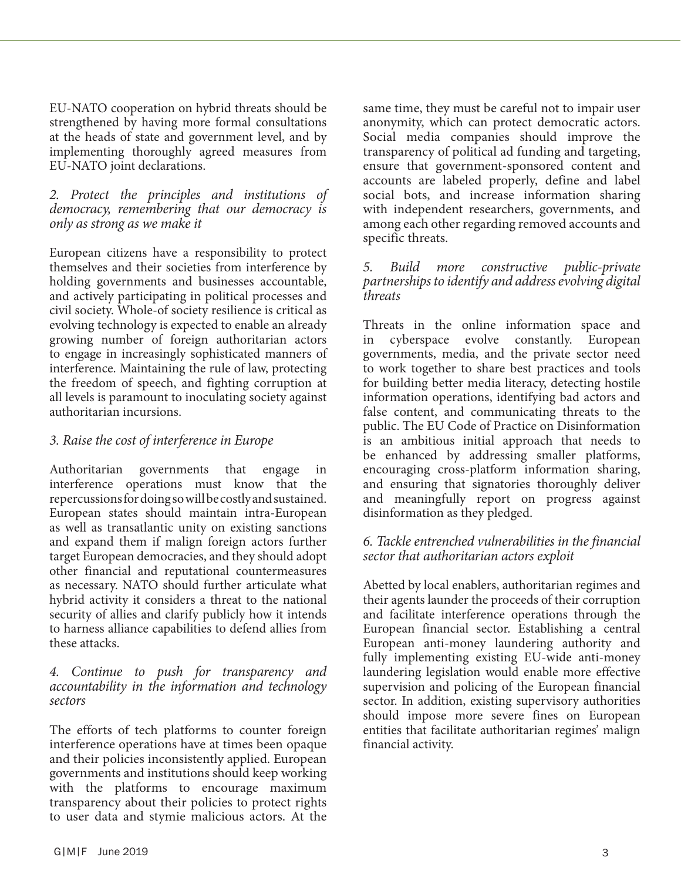EU-NATO cooperation on hybrid threats should be strengthened by having more formal consultations at the heads of state and government level, and by implementing thoroughly agreed measures from EU-NATO joint declarations.

## *2. Protect the principles and institutions of democracy, remembering that our democracy is only as strong as we make it*

European citizens have a responsibility to protect themselves and their societies from interference by holding governments and businesses accountable, and actively participating in political processes and civil society. Whole-of society resilience is critical as evolving technology is expected to enable an already growing number of foreign authoritarian actors to engage in increasingly sophisticated manners of interference. Maintaining the rule of law, protecting the freedom of speech, and fighting corruption at all levels is paramount to inoculating society against authoritarian incursions.

# *3. Raise the cost of interference in Europe*

Authoritarian governments that engage in interference operations must know that the repercussions for doing so will be costly and sustained. European states should maintain intra-European as well as transatlantic unity on existing sanctions and expand them if malign foreign actors further target European democracies, and they should adopt other financial and reputational countermeasures as necessary. NATO should further articulate what hybrid activity it considers a threat to the national security of allies and clarify publicly how it intends to harness alliance capabilities to defend allies from these attacks.

## *4. Continue to push for transparency and accountability in the information and technology sectors*

The efforts of tech platforms to counter foreign interference operations have at times been opaque and their policies inconsistently applied. European governments and institutions should keep working with the platforms to encourage maximum transparency about their policies to protect rights to user data and stymie malicious actors. At the

same time, they must be careful not to impair user anonymity, which can protect democratic actors. Social media companies should improve the transparency of political ad funding and targeting, ensure that government-sponsored content and accounts are labeled properly, define and label social bots, and increase information sharing with independent researchers, governments, and among each other regarding removed accounts and specific threats.

## *5. Build more constructive public-private partnerships to identify and address evolving digital threats*

Threats in the online information space and in cyberspace evolve constantly. European governments, media, and the private sector need to work together to share best practices and tools for building better media literacy, detecting hostile information operations, identifying bad actors and false content, and communicating threats to the public. The EU Code of Practice on Disinformation is an ambitious initial approach that needs to be enhanced by addressing smaller platforms, encouraging cross-platform information sharing, and ensuring that signatories thoroughly deliver and meaningfully report on progress against disinformation as they pledged.

# *6. Tackle entrenched vulnerabilities in the financial sector that authoritarian actors exploit*

Abetted by local enablers, authoritarian regimes and their agents launder the proceeds of their corruption and facilitate interference operations through the European financial sector. Establishing a central European anti-money laundering authority and fully implementing existing EU-wide anti-money laundering legislation would enable more effective supervision and policing of the European financial sector. In addition, existing supervisory authorities should impose more severe fines on European entities that facilitate authoritarian regimes' malign financial activity.